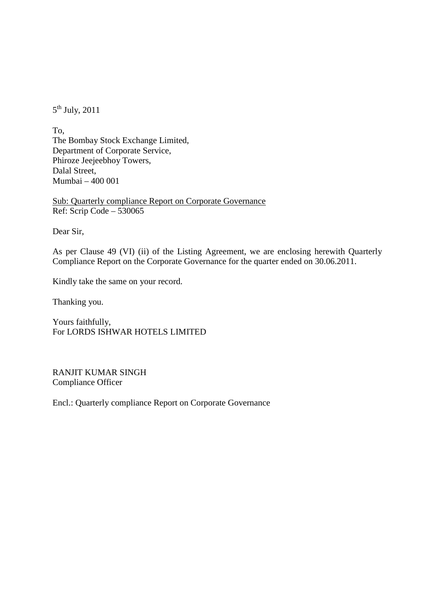$5<sup>th</sup>$  July, 2011

To, The Bombay Stock Exchange Limited, Department of Corporate Service, Phiroze Jeejeebhoy Towers, Dalal Street, Mumbai – 400 001

Ref: Scrip Code – 530065 Sub: Quarterly compliance Report on Corporate Governance

Dear Sir,

As per Clause 49 (VI) (ii) of the Listing Agreement, we are enclosing herewith Quarterly Compliance Report on the Corporate Governance for the quarter ended on 30.06.2011.

Kindly take the same on your record.

Thanking you.

Yours faithfully, For LORDS ISHWAR HOTELS LIMITED

RANJIT KUMAR SINGH Compliance Officer

Encl.: Quarterly compliance Report on Corporate Governance